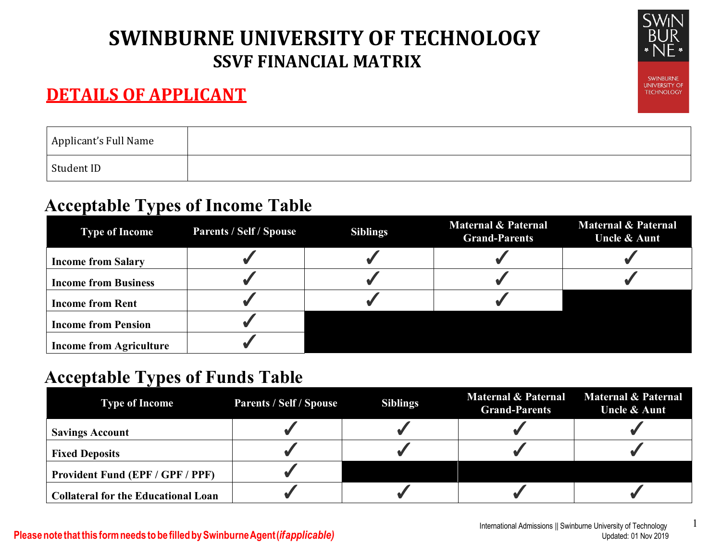#### **DETAILS OF APPLICANT**



| Applicant's Full Name |  |
|-----------------------|--|
| Student ID            |  |

#### **Acceptable Types of Income Table**

| <b>Type of Income</b>          | <b>Parents / Self / Spouse</b> | <b>Siblings</b> | <b>Maternal &amp; Paternal</b><br><b>Grand-Parents</b> | <b>Maternal &amp; Paternal</b><br><b>Uncle &amp; Aunt</b> |
|--------------------------------|--------------------------------|-----------------|--------------------------------------------------------|-----------------------------------------------------------|
| <b>Income from Salary</b>      |                                |                 |                                                        |                                                           |
| <b>Income from Business</b>    |                                |                 |                                                        |                                                           |
| <b>Income from Rent</b>        |                                |                 |                                                        |                                                           |
| <b>Income from Pension</b>     |                                |                 |                                                        |                                                           |
| <b>Income from Agriculture</b> |                                |                 |                                                        |                                                           |

### **Acceptable Types of Funds Table**

| <b>Type of Income</b>                      | <b>Parents / Self / Spouse</b> | <b>Siblings</b> | <b>Maternal &amp; Paternal</b><br><b>Grand-Parents</b> | <b>Maternal &amp; Paternal</b><br><b>Uncle &amp; Aunt</b> |
|--------------------------------------------|--------------------------------|-----------------|--------------------------------------------------------|-----------------------------------------------------------|
| <b>Savings Account</b>                     |                                |                 |                                                        |                                                           |
| <b>Fixed Deposits</b>                      |                                |                 |                                                        |                                                           |
| <b>Provident Fund (EPF / GPF / PPF)</b>    |                                |                 |                                                        |                                                           |
| <b>Collateral for the Educational Loan</b> |                                |                 |                                                        |                                                           |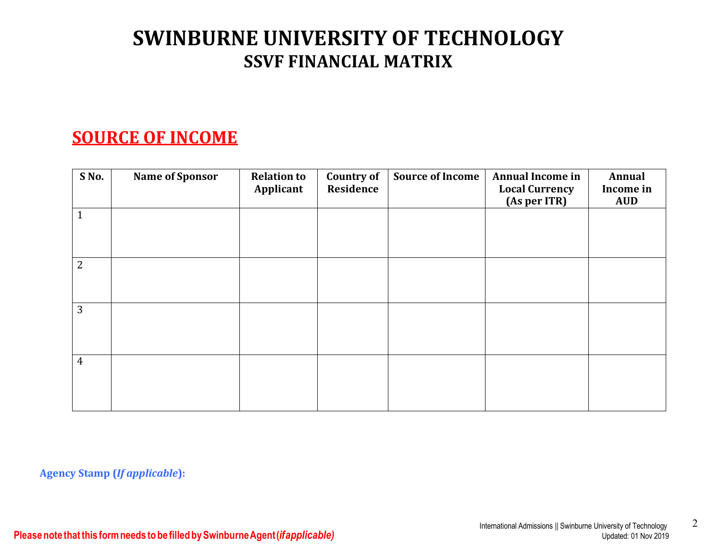#### **SOURCE OF INCOME**

| S No.          | <b>Name of Sponsor</b> | <b>Relation to</b><br>Applicant | <b>Country of</b><br>Residence | <b>Source of Income</b> | <b>Annual Income in</b><br><b>Local Currency</b><br>(As per ITR) | Annual<br>Income in<br><b>AUD</b> |
|----------------|------------------------|---------------------------------|--------------------------------|-------------------------|------------------------------------------------------------------|-----------------------------------|
| $\mathbf{1}$   |                        |                                 |                                |                         |                                                                  |                                   |
| 2              |                        |                                 |                                |                         |                                                                  |                                   |
| 3              |                        |                                 |                                |                         |                                                                  |                                   |
| $\overline{4}$ |                        |                                 |                                |                         |                                                                  |                                   |

**Agency Stamp (***If applicable***):**

**Pleasenote thatthis formneeds tobe filledbySwinburneAgent(***ifapplicable)*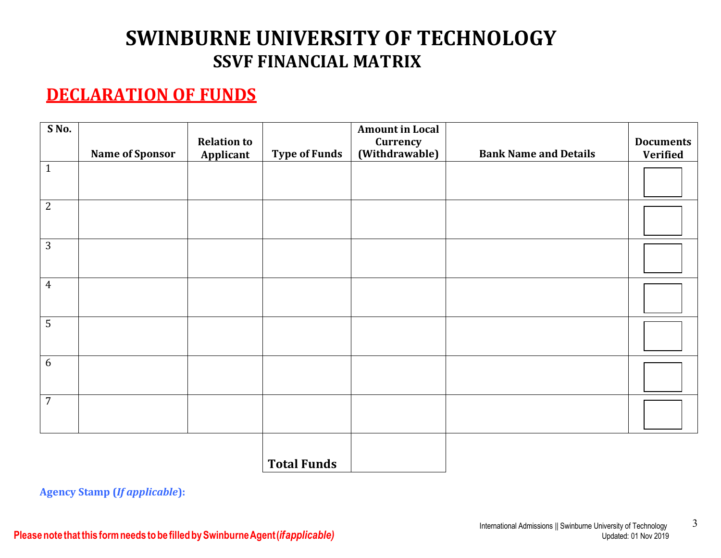### **DECLARATION OF FUNDS**

| S No.          | <b>Name of Sponsor</b> | <b>Relation to</b><br>Applicant | <b>Type of Funds</b> | <b>Amount in Local</b><br><b>Currency</b><br>(Withdrawable) | <b>Bank Name and Details</b> | <b>Documents</b><br><b>Verified</b> |
|----------------|------------------------|---------------------------------|----------------------|-------------------------------------------------------------|------------------------------|-------------------------------------|
| $\mathbf{1}$   |                        |                                 |                      |                                                             |                              |                                     |
| $\mathbf{2}$   |                        |                                 |                      |                                                             |                              |                                     |
| 3              |                        |                                 |                      |                                                             |                              |                                     |
| $\overline{4}$ |                        |                                 |                      |                                                             |                              |                                     |
| $\sqrt{5}$     |                        |                                 |                      |                                                             |                              |                                     |
| $6\,$          |                        |                                 |                      |                                                             |                              |                                     |
| $\overline{7}$ |                        |                                 |                      |                                                             |                              |                                     |
|                |                        |                                 | <b>Total Funds</b>   |                                                             |                              |                                     |

**Agency Stamp (***If applicable***):**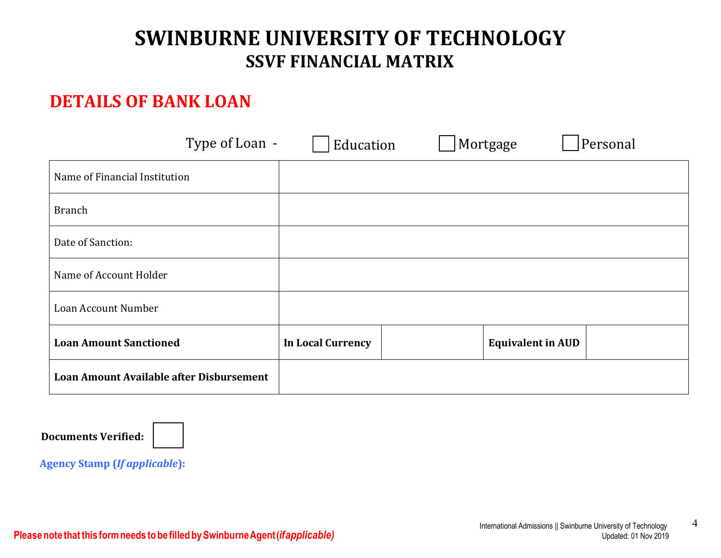### **DETAILS OF BANK LOAN**

| Type of Loan -                           | Education                | Mortgage                 | Personal |
|------------------------------------------|--------------------------|--------------------------|----------|
| Name of Financial Institution            |                          |                          |          |
| <b>Branch</b>                            |                          |                          |          |
| Date of Sanction:                        |                          |                          |          |
| Name of Account Holder                   |                          |                          |          |
| Loan Account Number                      |                          |                          |          |
| <b>Loan Amount Sanctioned</b>            | <b>In Local Currency</b> | <b>Equivalent in AUD</b> |          |
| Loan Amount Available after Disbursement |                          |                          |          |

**Documents Verified:** 



**Agency Stamp (***If applicable***):**